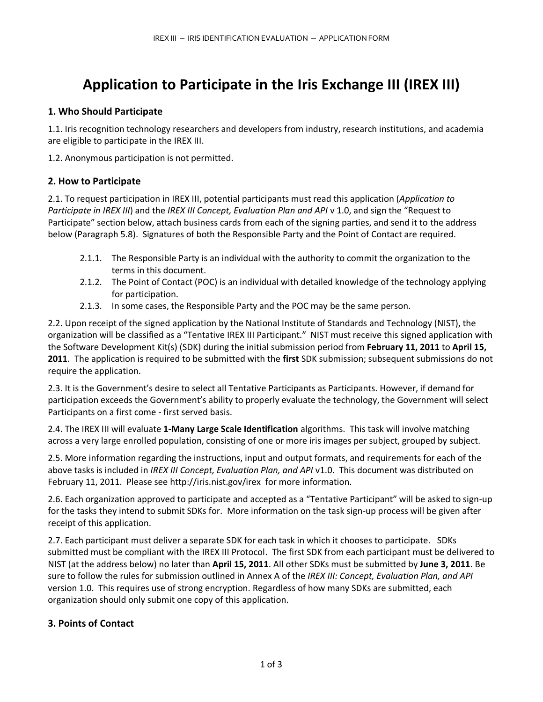# **Application to Participate in the Iris Exchange III (IREX III)**

# **1. Who Should Participate**

1.1. Iris recognition technology researchers and developers from industry, research institutions, and academia are eligible to participate in the IREX III.

1.2. Anonymous participation is not permitted.

### **2. How to Participate**

2.1. To request participation in IREX III, potential participants must read this application (*Application to Participate in IREX III*) and the *IREX III Concept, Evaluation Plan and API* v 1.0, and sign the "Request to Participate" section below, attach business cards from each of the signing parties, and send it to the address below (Paragraph 5.8). Signatures of both the Responsible Party and the Point of Contact are required.

- 2.1.1. The Responsible Party is an individual with the authority to commit the organization to the terms in this document.
- 2.1.2. The Point of Contact (POC) is an individual with detailed knowledge of the technology applying for participation.
- 2.1.3. In some cases, the Responsible Party and the POC may be the same person.

2.2. Upon receipt of the signed application by the National Institute of Standards and Technology (NIST), the organization will be classified as a "Tentative IREX III Participant." NIST must receive this signed application with the Software Development Kit(s) (SDK) during the initial submission period from **February 11, 2011** to **April 15, 2011**. The application is required to be submitted with the **first** SDK submission; subsequent submissions do not require the application.

2.3. It is the Government's desire to select all Tentative Participants as Participants. However, if demand for participation exceeds the Government's ability to properly evaluate the technology, the Government will select Participants on a first come - first served basis.

2.4. The IREX III will evaluate **1-Many Large Scale Identification** algorithms. This task will involve matching across a very large enrolled population, consisting of one or more iris images per subject, grouped by subject.

2.5. More information regarding the instructions, input and output formats, and requirements for each of the above tasks is included in *[IREX III Concept, Evaluation Plan, and API](http://face.nist.gov/mbe/MBE_STILL_plan_API_092.pdf)* v1.0. This document was distributed on February 11, 2011. Please see<http://iris.nist.gov/irex>for more information.

2.6. Each organization approved to participate and accepted as a "Tentative Participant" will be asked to sign-up for the tasks they intend to submit SDKs for. More information on the task sign-up process will be given after receipt of this application.

2.7. Each participant must deliver a separate SDK for each task in which it chooses to participate. SDKs submitted must be compliant with the IREX III Protocol. The first SDK from each participant must be delivered to NIST (at the address below) no later than **April 15, 2011**. All other SDKs must be submitted by **June 3, 2011**. Be sure to follow the rules for submission outlined in Annex A of the *[IREX III: Concept, Evaluation Plan, and API](http://face.nist.gov/mbe/MBE_STILL_plan_API_092.pdf)* version 1.0. This requires use of strong encryption. Regardless of how many SDKs are submitted, each organization should only submit one copy of this application.

### **3. Points of Contact**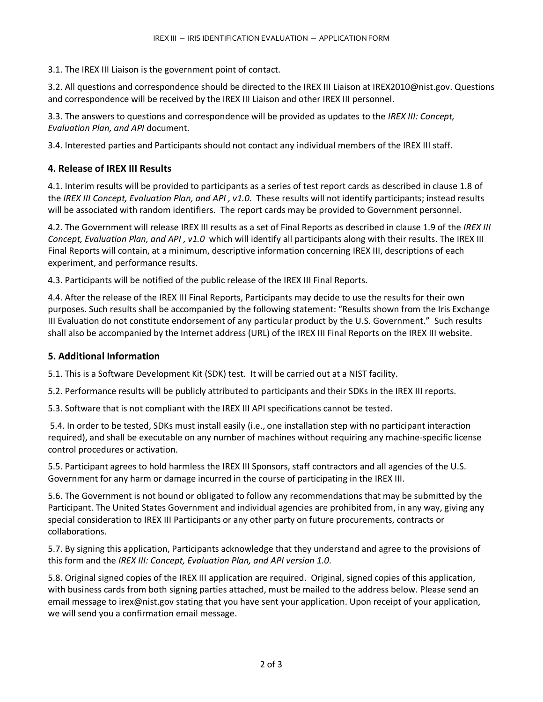3.1. The [IREX III Liaison](mailto:mbe2010@nist.gov) is the government point of contact.

3.2. All questions and correspondence should be directed to the [IREX III Liaison](mailto:mbe2010@nist.gov) a[t IREX2010@nist.gov.](mailto:mbe2010@nist.gov) Questions and correspondence will be received by the IREX III Liaison and other IREX III personnel.

3.3. The answers to questions and correspondence will be provided as updates to the *[IREX III: Concept,](http://face.nist.gov/mbe/MBE_STILL_plan_API_092.pdf)  [Evaluation Plan, and API](http://face.nist.gov/mbe/MBE_STILL_plan_API_092.pdf)* document.

3.4. Interested parties and Participants should not contact any individual members of the IREX III staff.

# **4. Release of IREX III Results**

4.1. Interim results will be provided to participants as a series of test report cards as described in clause 1.8 of the *[IREX III Concept, Evaluation Plan, and API](http://face.nist.gov/mbe/MBE_STILL_plan_API_092.pdf) , v1.0*. These results will not identify participants; instead results will be associated with random identifiers. The report cards may be provided to Government personnel.

4.2. The Government will release IREX III results as a set of Final Reports as described in clause 1.9 of the *[IREX III](http://face.nist.gov/mbe/MBE_STILL_plan_API_092.pdf)  [Concept, Evaluation Plan, and API](http://face.nist.gov/mbe/MBE_STILL_plan_API_092.pdf) , v1.0* which will identify all participants along with their results. The IREX III Final Reports will contain, at a minimum, descriptive information concerning IREX III, descriptions of each experiment, and performance results.

4.3. Participants will be notified of the public release of the IREX III Final Reports.

4.4. After the release of the IREX III Final Reports, Participants may decide to use the results for their own purposes. Such results shall be accompanied by the following statement: "Results shown from the Iris Exchange III Evaluation do not constitute endorsement of any particular product by the U.S. Government." Such results shall also be accompanied by the Internet address (URL) of the IREX III Final Reports on the IREX III website.

### **5. Additional Information**

5.1. This is a Software Development Kit (SDK) test. It will be carried out at a NIST facility.

5.2. Performance results will be publicly attributed to participants and their SDKs in the IREX III reports.

5.3. Software that is not compliant with the IREX III API specifications cannot be tested.

 5.4. In order to be tested, SDKs must install easily (i.e., one installation step with no participant interaction required), and shall be executable on any number of machines without requiring any machine-specific license control procedures or activation.

5.5. Participant agrees to hold harmless the IREX III Sponsors, staff contractors and all agencies of the U.S. Government for any harm or damage incurred in the course of participating in the IREX III.

5.6. The Government is not bound or obligated to follow any recommendations that may be submitted by the Participant. The United States Government and individual agencies are prohibited from, in any way, giving any special consideration to IREX III Participants or any other party on future procurements, contracts or collaborations.

5.7. By signing this application, Participants acknowledge that they understand and agree to the provisions of this form and the *IREX III: Concept, Evaluation Plan, and API version 1.0*.

5.8. Original signed copies of the IREX III application are required. Original, signed copies of this application, with business cards from both signing parties attached, must be mailed to the address below. Please send an email message to [irex@nist.gov](mailto:irex@nist.gov) stating that you have sent your application. Upon receipt of your application, we will send you a confirmation email message.